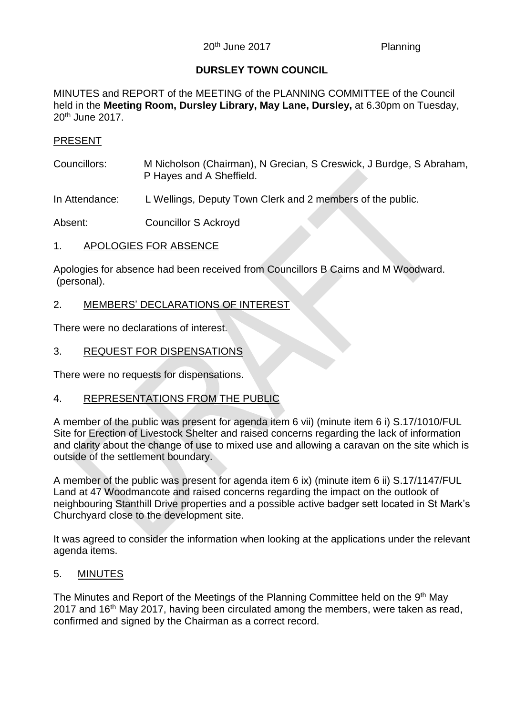## **DURSLEY TOWN COUNCIL**

MINUTES and REPORT of the MEETING of the PLANNING COMMITTEE of the Council held in the **Meeting Room, Dursley Library, May Lane, Dursley,** at 6.30pm on Tuesday, 20th June 2017.

## PRESENT

- Councillors: M Nicholson (Chairman), N Grecian, S Creswick, J Burdge, S Abraham, P Hayes and A Sheffield.
- In Attendance: L Wellings, Deputy Town Clerk and 2 members of the public.
- Absent: Councillor S Ackroyd

### 1. APOLOGIES FOR ABSENCE

Apologies for absence had been received from Councillors B Cairns and M Woodward. (personal).

## 2. MEMBERS' DECLARATIONS OF INTEREST

There were no declarations of interest.

3. REQUEST FOR DISPENSATIONS

There were no requests for dispensations.

### 4. REPRESENTATIONS FROM THE PUBLIC

A member of the public was present for agenda item 6 vii) (minute item 6 i) S.17/1010/FUL Site for Erection of Livestock Shelter and raised concerns regarding the lack of information and clarity about the change of use to mixed use and allowing a caravan on the site which is outside of the settlement boundary.

A member of the public was present for agenda item 6 ix) (minute item 6 ii) S.17/1147/FUL Land at 47 Woodmancote and raised concerns regarding the impact on the outlook of neighbouring Stanthill Drive properties and a possible active badger sett located in St Mark's Churchyard close to the development site.

It was agreed to consider the information when looking at the applications under the relevant agenda items.

### 5. MINUTES

The Minutes and Report of the Meetings of the Planning Committee held on the 9<sup>th</sup> May  $2017$  and  $16<sup>th</sup>$  May 2017, having been circulated among the members, were taken as read, confirmed and signed by the Chairman as a correct record.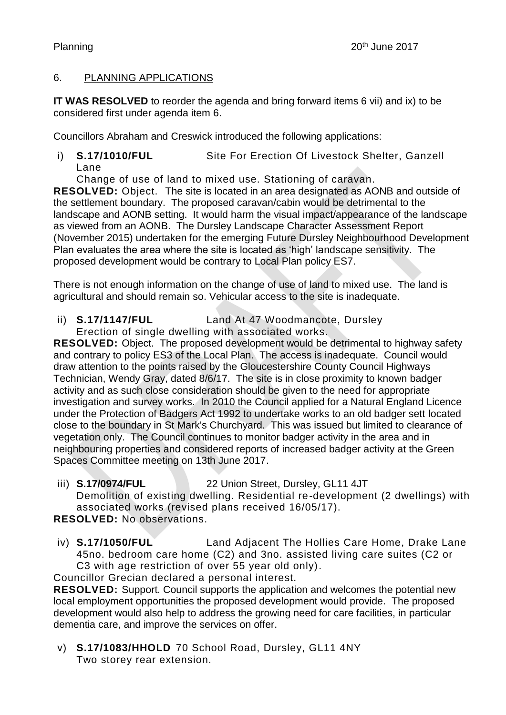# 6. PLANNING APPLICATIONS

**IT WAS RESOLVED** to reorder the agenda and bring forward items 6 vii) and ix) to be considered first under agenda item 6.

Councillors Abraham and Creswick introduced the following applications:

i) **S.17/1010/FUL** Site For Erection Of Livestock Shelter, Ganzell Lane

Change of use of land to mixed use. Stationing of caravan.

**RESOLVED:** Object.The site is located in an area designated as AONB and outside of the settlement boundary. The proposed caravan/cabin would be detrimental to the landscape and AONB setting. It would harm the visual impact/appearance of the landscape as viewed from an AONB. The Dursley Landscape Character Assessment Report (November 2015) undertaken for the emerging Future Dursley Neighbourhood Development Plan evaluates the area where the site is located as 'high' landscape sensitivity. The proposed development would be contrary to Local Plan policy ES7.

There is not enough information on the change of use of land to mixed use. The land is agricultural and should remain so. Vehicular access to the site is inadequate.

ii) **S.17/1147/FUL** Land At 47 Woodmancote, Dursley

Erection of single dwelling with associated works.

**RESOLVED:** Object. The proposed development would be detrimental to highway safety and contrary to policy ES3 of the Local Plan. The access is inadequate. Council would draw attention to the points raised by the Gloucestershire County Council Highways Technician, Wendy Gray, dated 8/6/17. The site is in close proximity to known badger activity and as such close consideration should be given to the need for appropriate investigation and survey works. In 2010 the Council applied for a Natural England Licence under the Protection of Badgers Act 1992 to undertake works to an old badger sett located close to the boundary in St Mark's Churchyard. This was issued but limited to clearance of vegetation only. The Council continues to monitor badger activity in the area and in neighbouring properties and considered reports of increased badger activity at the Green Spaces Committee meeting on 13th June 2017.

iii) **S.17/0974/FUL** 22 Union Street, Dursley, GL11 4JT Demolition of existing dwelling. Residential re-development (2 dwellings) with associated works (revised plans received 16/05/17).

**RESOLVED:** No observations.

iv) **S.17/1050/FUL** Land Adjacent The Hollies Care Home, Drake Lane 45no. bedroom care home (C2) and 3no. assisted living care suites (C2 or C3 with age restriction of over 55 year old only).

Councillor Grecian declared a personal interest.

**RESOLVED:** Support. Council supports the application and welcomes the potential new local employment opportunities the proposed development would provide. The proposed development would also help to address the growing need for care facilities, in particular dementia care, and improve the services on offer.

v) **S.17/1083/HHOLD** 70 School Road, Dursley, GL11 4NY Two storey rear extension.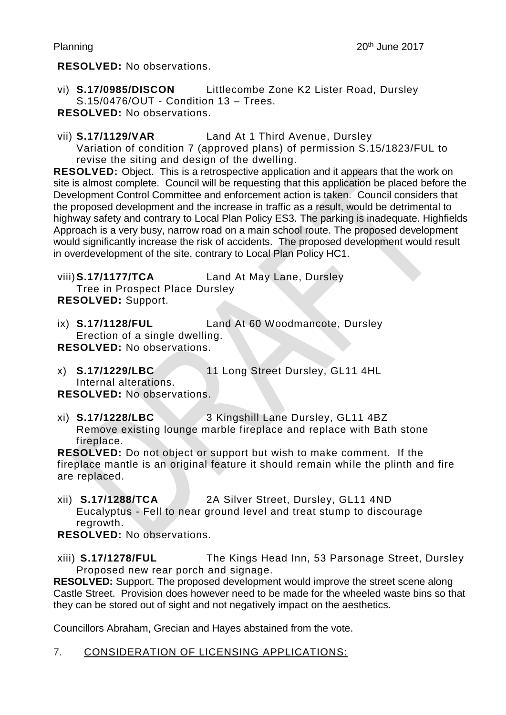## **RESOLVED:** No observations.

vi) **S.17/0985/DISCON** Littlecombe Zone K2 Lister Road, Dursley S.15/0476/OUT - Condition 13 – Trees. **RESOLVED:** No observations.

vii) **S.17/1129/VAR** Land At 1 Third Avenue, Dursley

Variation of condition 7 (approved plans) of permission S.15/1823/FUL to revise the siting and design of the dwelling.

**RESOLVED:** Object. This is a retrospective application and it appears that the work on site is almost complete. Council will be requesting that this application be placed before the Development Control Committee and enforcement action is taken. Council considers that the proposed development and the increase in traffic as a result, would be detrimental to highway safety and contrary to Local Plan Policy ES3. The parking is inadequate. Highfields Approach is a very busy, narrow road on a main school route. The proposed development would significantly increase the risk of accidents. The proposed development would result in overdevelopment of the site, contrary to Local Plan Policy HC1.

viii)**S.17/1177/TCA** Land At May Lane, Dursley Tree in Prospect Place Dursley **RESOLVED:** Support.

ix) **S.17/1128/FUL** Land At 60 Woodmancote, Dursley Erection of a single dwelling. **RESOLVED:** No observations.

- x) **S.17/1229/LBC** 11 Long Street Dursley, GL11 4HL Internal alterations. **RESOLVED:** No observations.
- xi) **S.17/1228/LBC** 3 Kingshill Lane Dursley, GL11 4BZ Remove existing lounge marble fireplace and replace with Bath stone fireplace.

**RESOLVED:** Do not object or support but wish to make comment. If the fireplace mantle is an original feature it should remain while the plinth and fire are replaced.

xii) **S.17/1288/TCA** 2A Silver Street, Dursley, GL11 4ND Eucalyptus - Fell to near ground level and treat stump to discourage regrowth.

**RESOLVED:** No observations.

xiii) **S.17/1278/FUL** The Kings Head Inn, 53 Parsonage Street, Dursley Proposed new rear porch and signage.

**RESOLVED:** Support. The proposed development would improve the street scene along Castle Street. Provision does however need to be made for the wheeled waste bins so that they can be stored out of sight and not negatively impact on the aesthetics.

Councillors Abraham, Grecian and Hayes abstained from the vote.

## 7. CONSIDERATION OF LICENSING APPLICATIONS: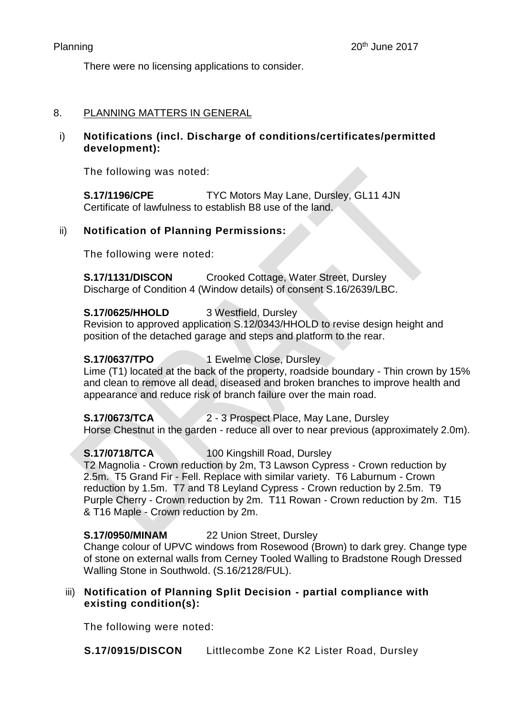There were no licensing applications to consider.

### 8. PLANNING MATTERS IN GENERAL

## i) **Notifications (incl. Discharge of conditions/certificates/permitted development):**

The following was noted:

**S.17/1196/CPE** TYC Motors May Lane, Dursley, GL11 4JN Certificate of lawfulness to establish B8 use of the land.

## ii) **Notification of Planning Permissions:**

The following were noted:

**S.17/1131/DISCON** Crooked Cottage, Water Street, Dursley Discharge of Condition 4 (Window details) of consent S.16/2639/LBC.

## **S.17/0625/HHOLD** 3 Westfield, Dursley

Revision to approved application S.12/0343/HHOLD to revise design height and position of the detached garage and steps and platform to the rear.

## **S.17/0637/TPO** 1 Ewelme Close, Dursley

Lime (T1) located at the back of the property, roadside boundary - Thin crown by 15% and clean to remove all dead, diseased and broken branches to improve health and appearance and reduce risk of branch failure over the main road.

**S.17/0673/TCA** 2 - 3 Prospect Place, May Lane, Dursley Horse Chestnut in the garden - reduce all over to near previous (approximately 2.0m).

## **S.17/0718/TCA** 100 Kingshill Road, Dursley

T2 Magnolia - Crown reduction by 2m, T3 Lawson Cypress - Crown reduction by 2.5m. T5 Grand Fir - Fell. Replace with similar variety. T6 Laburnum - Crown reduction by 1.5m. T7 and T8 Leyland Cypress - Crown reduction by 2.5m. T9 Purple Cherry - Crown reduction by 2m. T11 Rowan - Crown reduction by 2m. T15 & T16 Maple - Crown reduction by 2m.

## **S.17/0950/MINAM** 22 Union Street, Dursley

Change colour of UPVC windows from Rosewood (Brown) to dark grey. Change type of stone on external walls from Cerney Tooled Walling to Bradstone Rough Dressed Walling Stone in Southwold. (S.16/2128/FUL).

## iii) **Notification of Planning Split Decision - partial compliance with existing condition(s):**

The following were noted:

**S.17/0915/DISCON** Littlecombe Zone K2 Lister Road, Dursley